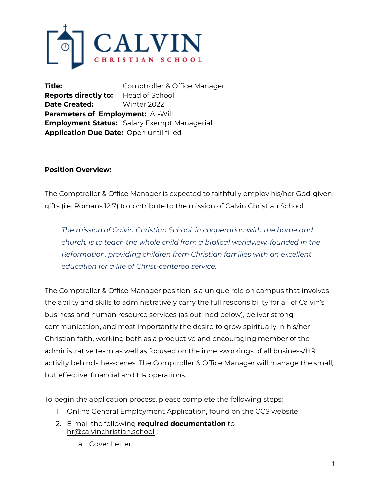

**Title:** Comptroller & Office Manager **Reports directly to:** Head of School **Date Created:** Winter 2022 **Parameters of Employment:** At-Will **Employment Status:** Salary Exempt Managerial **Application Due Date:** Open until filled

### **Position Overview:**

The Comptroller & Office Manager is expected to faithfully employ his/her God-given gifts (i.e. Romans 12:7) to contribute to the mission of Calvin Christian School:

*The mission of Calvin Christian School, in cooperation with the home and church, is to teach the whole child from a biblical worldview, founded in the Reformation, providing children from Christian families with an excellent education for a life of Christ-centered service.*

The Comptroller & Office Manager position is a unique role on campus that involves the ability and skills to administratively carry the full responsibility for all of Calvin's business and human resource services (as outlined below), deliver strong communication, and most importantly the desire to grow spiritually in his/her Christian faith, working both as a productive and encouraging member of the administrative team as well as focused on the inner-workings of all business/HR activity behind-the-scenes. The Comptroller & Office Manager will manage the small, but effective, financial and HR operations.

To begin the application process, please complete the following steps:

- 1. Online General Employment Application, found on the CCS website
- 2. E-mail the following **required documentation** to hr@calvinchristian.school :
	- a. Cover Letter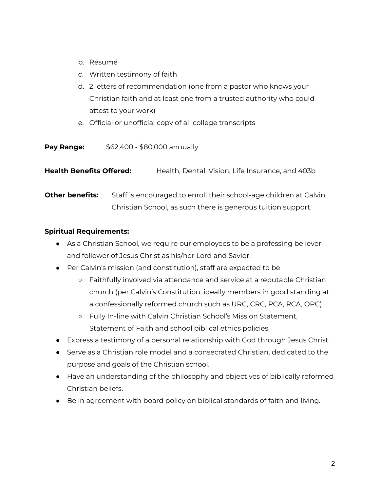- b. Résumé
- c. Written testimony of faith
- d. 2 letters of recommendation (one from a pastor who knows your Christian faith and at least one from a trusted authority who could attest to your work)
- e. Official or unofficial copy of all college transcripts

| Pay Range: | \$62,400 - \$80,000 annually |
|------------|------------------------------|
|            |                              |

**Health Benefits Offered:** Health, Dental, Vision, Life Insurance, and 403b

**Other benefits:** Staff is encouraged to enroll their school-age children at Calvin Christian School, as such there is generous tuition support.

# **Spiritual Requirements:**

- As a Christian School, we require our employees to be a professing believer and follower of Jesus Christ as his/her Lord and Savior.
- Per Calvin's mission (and constitution), staff are expected to be
	- Faithfully involved via attendance and service at a reputable Christian church (per Calvin's Constitution, ideally members in good standing at a confessionally reformed church such as URC, CRC, PCA, RCA, OPC)
	- Fully In-line with Calvin Christian School's Mission Statement, Statement of Faith and school biblical ethics policies.
- Express a testimony of a personal relationship with God through Jesus Christ.
- Serve as a Christian role model and a consecrated Christian, dedicated to the purpose and goals of the Christian school.
- Have an understanding of the philosophy and objectives of biblically reformed Christian beliefs.
- Be in agreement with board policy on biblical standards of faith and living.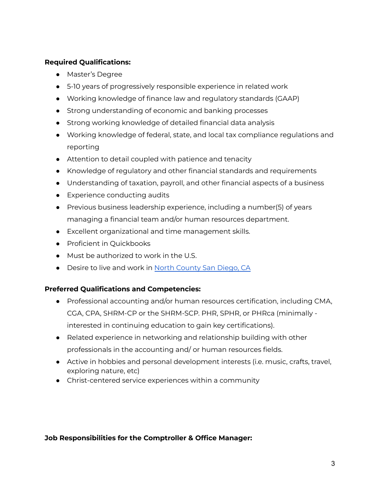### **Required Qualifications:**

- Master's Degree
- 5-10 years of progressively responsible experience in related work
- Working knowledge of finance law and regulatory standards (GAAP)
- Strong understanding of economic and banking processes
- Strong working knowledge of detailed financial data analysis
- Working knowledge of federal, state, and local tax compliance regulations and reporting
- Attention to detail coupled with patience and tenacity
- Knowledge of regulatory and other financial standards and requirements
- Understanding of taxation, payroll, and other financial aspects of a business
- Experience conducting audits
- Previous business leadership experience, including a number(5) of years managing a financial team and/or human resources department.
- Excellent organizational and time management skills.
- Proficient in Ouickbooks
- Must be authorized to work in the U.S.
- Desire to live and work in North [County](https://www.sandiego.org/explore/coastal/north-county-coastal.aspx) San Diego, CA

### **Preferred Qualifications and Competencies:**

- Professional accounting and/or human resources certification, including CMA, CGA, CPA, SHRM-CP or the SHRM-SCP. PHR, SPHR, or PHRca (minimally interested in continuing education to gain key certifications).
- Related experience in networking and relationship building with other professionals in the accounting and/ or human resources fields.
- Active in hobbies and personal development interests (i.e. music, crafts, travel, exploring nature, etc)
- Christ-centered service experiences within a community

### **Job Responsibilities for the Comptroller & Office Manager:**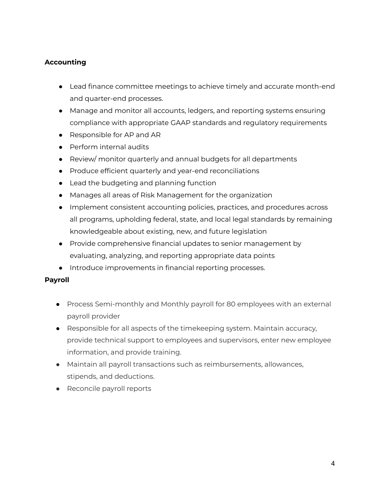# **Accounting**

- Lead finance committee meetings to achieve timely and accurate month-end and quarter-end processes.
- Manage and monitor all accounts, ledgers, and reporting systems ensuring compliance with appropriate GAAP standards and regulatory requirements
- Responsible for AP and AR
- Perform internal audits
- Review/ monitor quarterly and annual budgets for all departments
- Produce efficient quarterly and year-end reconciliations
- Lead the budgeting and planning function
- Manages all areas of Risk Management for the organization
- Implement consistent accounting policies, practices, and procedures across all programs, upholding federal, state, and local legal standards by remaining knowledgeable about existing, new, and future legislation
- Provide comprehensive financial updates to senior management by evaluating, analyzing, and reporting appropriate data points
- Introduce improvements in financial reporting processes.

### **Payroll**

- Process Semi-monthly and Monthly payroll for 80 employees with an external payroll provider
- Responsible for all aspects of the timekeeping system. Maintain accuracy, provide technical support to employees and supervisors, enter new employee information, and provide training.
- Maintain all payroll transactions such as reimbursements, allowances, stipends, and deductions.
- Reconcile payroll reports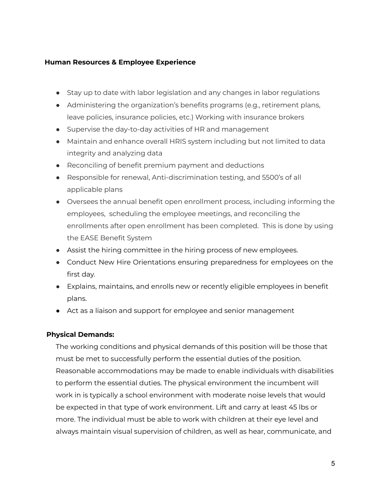#### **Human Resources & Employee Experience**

- Stay up to date with labor legislation and any changes in labor regulations
- Administering the organization's benefits programs (e.g., retirement plans, leave policies, insurance policies, etc.) Working with insurance brokers
- Supervise the day-to-day activities of HR and management
- Maintain and enhance overall HRIS system including but not limited to data integrity and analyzing data
- Reconciling of benefit premium payment and deductions
- Responsible for renewal, Anti-discrimination testing, and 5500's of all applicable plans
- Oversees the annual benefit open enrollment process, including informing the employees, scheduling the employee meetings, and reconciling the enrollments after open enrollment has been completed. This is done by using the EASE Benefit System
- Assist the hiring committee in the hiring process of new employees.
- Conduct New Hire Orientations ensuring preparedness for employees on the first day.
- Explains, maintains, and enrolls new or recently eligible employees in benefit plans.
- Act as a liaison and support for employee and senior management

### **Physical Demands:**

The working conditions and physical demands of this position will be those that must be met to successfully perform the essential duties of the position. Reasonable accommodations may be made to enable individuals with disabilities to perform the essential duties. The physical environment the incumbent will work in is typically a school environment with moderate noise levels that would be expected in that type of work environment. Lift and carry at least 45 lbs or more. The individual must be able to work with children at their eye level and always maintain visual supervision of children, as well as hear, communicate, and